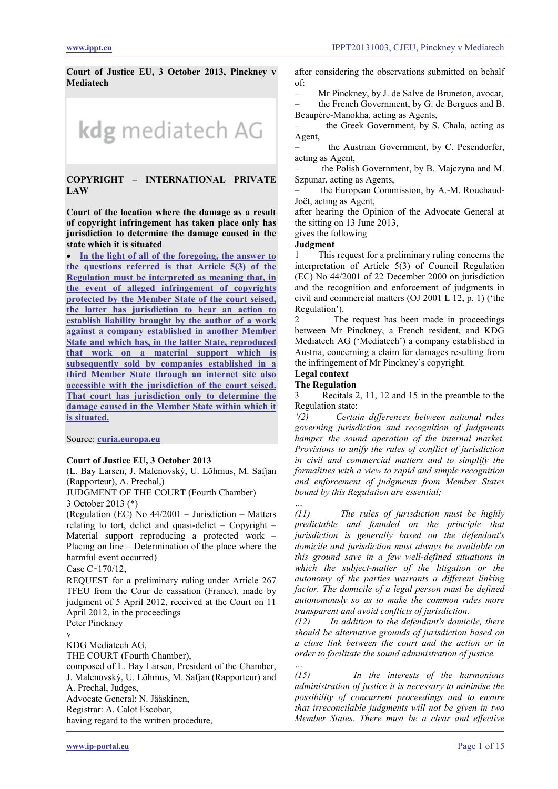**Court of Justice EU, 3 October 2013, Pinckney v Mediatech**



## **COPYRIGHT – INTERNATIONAL PRIVATE LAW**

**Court of the location where the damage as a result of copyright infringement has taken place only has jurisdiction to determine the damage caused in the state which it is situated**

• **[In the light of all of the foregoing, the answer to](#page-4-0)  [the questions referred is that Article 5\(3\) of the](#page-4-0)  [Regulation must be interpreted as meaning that, in](#page-4-0)  [the event of alleged infringement of copyrights](#page-4-0)  [protected by the Member State of the court seised,](#page-4-0)  [the latter has jurisdiction to hear an action to](#page-4-0)  [establish liability brought by the author of a work](#page-4-0)  [against a company established in](#page-4-0) another Member [State and which has, in the latter State, reproduced](#page-4-0)  [that work on a material support which is](#page-4-0)  [subsequently sold by companies established in a](#page-4-0)  [third Member State through an internet site also](#page-4-0)  [accessible with the jurisdiction of the court seised.](#page-4-0)  [That court has jurisdiction only to determine the](#page-4-0)  [damage caused in the Member State within which it](#page-4-0)  [is situated.](#page-4-0)**

Source: **[curia.europa.eu](http://curia.europa.eu/juris/liste.jsf?language=en&jur=C,T,F&num=C-170/12&td=ALL)**

#### **Court of Justice EU, 3 October 2013**

(L. Bay Larsen, J. Malenovský, U. Lõhmus, M. Safjan (Rapporteur), A. Prechal,)

JUDGMENT OF THE COURT (Fourth Chamber) 3 October 2013 (\*)

(Regulation (EC) No 44/2001 – Jurisdiction – Matters relating to tort, delict and quasi-delict – Copyright – Material support reproducing a protected work – Placing on line – Determination of the place where the harmful event occurred)

Case C‑170/12,

REQUEST for a preliminary ruling under Article 267 TFEU from the Cour de cassation (France), made by judgment of 5 April 2012, received at the Court on 11 April 2012, in the proceedings Peter Pinckney

v

KDG Mediatech AG,

THE COURT (Fourth Chamber),

composed of L. Bay Larsen, President of the Chamber, J. Malenovský, U. Lõhmus, M. Safjan (Rapporteur) and A. Prechal, Judges, Advocate General: N. Jääskinen, Registrar: A. Calot Escobar, having regard to the written procedure,

after considering the observations submitted on behalf of:

– Mr Pinckney, by J. de Salve de Bruneton, avocat,

– the French Government, by G. de Bergues and B. Beaupère-Manokha, acting as Agents,

– the Greek Government, by S. Chala, acting as Agent,

– the Austrian Government, by C. Pesendorfer, acting as Agent,

the Polish Government, by B. Majczyna and M. Szpunar, acting as Agents,

– the European Commission, by A.-M. Rouchaud-Joët, acting as Agent,

after hearing the Opinion of the Advocate General at the sitting on 13 June 2013,

gives the following

**Judgment**

1 This request for a preliminary ruling concerns the interpretation of Article 5(3) of Council Regulation (EC) No 44/2001 of 22 December 2000 on jurisdiction and the recognition and enforcement of judgments in civil and commercial matters (OJ 2001 L 12, p. 1) ('the Regulation').

2 The request has been made in proceedings between Mr Pinckney, a French resident, and KDG Mediatech AG ('Mediatech') a company established in Austria, concerning a claim for damages resulting from the infringement of Mr Pinckney's copyright.

#### **Legal context**

#### **The Regulation**

3 Recitals 2, 11, 12 and 15 in the preamble to the Regulation state:

*'(2) Certain differences between national rules governing jurisdiction and recognition of judgments hamper the sound operation of the internal market. Provisions to unify the rules of conflict of jurisdiction in civil and commercial matters and to simplify the formalities with a view to rapid and simple recognition and enforcement of judgments from Member States bound by this Regulation are essential;*

*… (11) The rules of jurisdiction must be highly predictable and founded on the principle that jurisdiction is generally based on the defendant's domicile and jurisdiction must always be available on this ground save in a few well-defined situations in which the subject-matter of the litigation or the autonomy of the parties warrants a different linking factor. The domicile of a legal person must be defined autonomously so as to make the common rules more transparent and avoid conflicts of jurisdiction.*

*(12) In addition to the defendant's domicile, there should be alternative grounds of jurisdiction based on a close link between the court and the action or in order to facilitate the sound administration of justice.*

*… (15) In the interests of the harmonious administration of justice it is necessary to minimise the possibility of concurrent proceedings and to ensure that irreconcilable judgments will not be given in two Member States. There must be a clear and effective*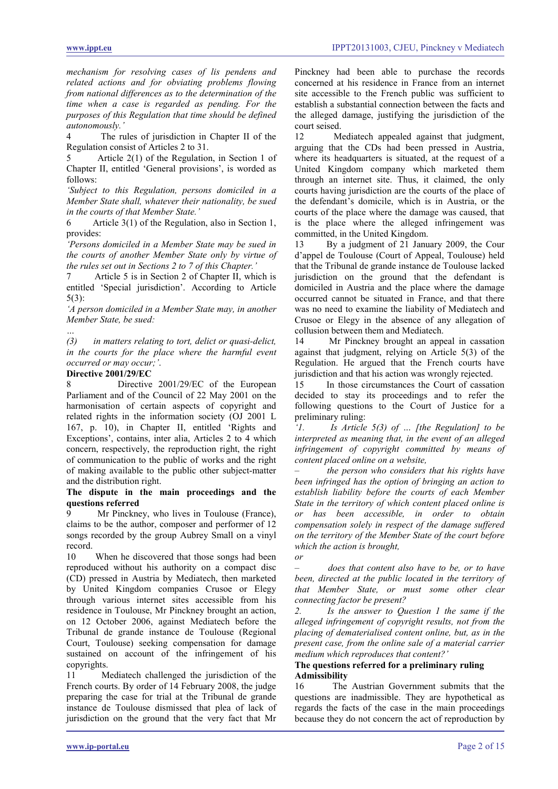*mechanism for resolving cases of lis pendens and related actions and for obviating problems flowing from national differences as to the determination of the time when a case is regarded as pending. For the purposes of this Regulation that time should be defined autonomously.'*

4 The rules of jurisdiction in Chapter II of the Regulation consist of Articles 2 to 31.

5 Article 2(1) of the Regulation, in Section 1 of Chapter II, entitled 'General provisions', is worded as follows:

*'Subject to this Regulation, persons domiciled in a Member State shall, whatever their nationality, be sued in the courts of that Member State.'*

6 Article 3(1) of the Regulation, also in Section 1, provides:

*'Persons domiciled in a Member State may be sued in the courts of another Member State only by virtue of the rules set out in Sections 2 to 7 of this Chapter.'*

7 Article 5 is in Section 2 of Chapter II, which is entitled 'Special jurisdiction'. According to Article 5(3):

*'A person domiciled in a Member State may, in another Member State, be sued:*

*… (3) in matters relating to tort, delict or quasi-delict, in the courts for the place where the harmful event occurred or may occur;'*.

# **Directive 2001/29/EC**<br>8 Directive

Directive 2001/29/EC of the European Parliament and of the Council of 22 May 2001 on the harmonisation of certain aspects of copyright and related rights in the information society (OJ 2001 L 167, p. 10), in Chapter II, entitled 'Rights and Exceptions', contains, inter alia, Articles 2 to 4 which concern, respectively, the reproduction right, the right of communication to the public of works and the right of making available to the public other subject-matter and the distribution right.

### **The dispute in the main proceedings and the questions referred**

Mr Pinckney, who lives in Toulouse (France), claims to be the author, composer and performer of 12 songs recorded by the group Aubrey Small on a vinyl record.

10 When he discovered that those songs had been reproduced without his authority on a compact disc (CD) pressed in Austria by Mediatech, then marketed by United Kingdom companies Crusoe or Elegy through various internet sites accessible from his residence in Toulouse, Mr Pinckney brought an action, on 12 October 2006, against Mediatech before the Tribunal de grande instance de Toulouse (Regional Court, Toulouse) seeking compensation for damage sustained on account of the infringement of his copyrights.

11 Mediatech challenged the jurisdiction of the French courts. By order of 14 February 2008, the judge preparing the case for trial at the Tribunal de grande instance de Toulouse dismissed that plea of lack of jurisdiction on the ground that the very fact that Mr

Pinckney had been able to purchase the records concerned at his residence in France from an internet site accessible to the French public was sufficient to establish a substantial connection between the facts and the alleged damage, justifying the jurisdiction of the court seised.

12 Mediatech appealed against that judgment, arguing that the CDs had been pressed in Austria, where its headquarters is situated, at the request of a United Kingdom company which marketed them through an internet site. Thus, it claimed, the only courts having jurisdiction are the courts of the place of the defendant's domicile, which is in Austria, or the courts of the place where the damage was caused, that is the place where the alleged infringement was committed, in the United Kingdom.

13 By a judgment of 21 January 2009, the Cour d'appel de Toulouse (Court of Appeal, Toulouse) held that the Tribunal de grande instance de Toulouse lacked jurisdiction on the ground that the defendant is domiciled in Austria and the place where the damage occurred cannot be situated in France, and that there was no need to examine the liability of Mediatech and Crusoe or Elegy in the absence of any allegation of collusion between them and Mediatech.

14 Mr Pinckney brought an appeal in cassation against that judgment, relying on Article 5(3) of the Regulation. He argued that the French courts have jurisdiction and that his action was wrongly rejected.<br>15 In those circumstances the Court of cassati

In those circumstances the Court of cassation decided to stay its proceedings and to refer the following questions to the Court of Justice for a preliminary ruling:

*'1. Is Article 5(3) of … [the Regulation] to be interpreted as meaning that, in the event of an alleged infringement of copyright committed by means of content placed online on a website,* 

*– the person who considers that his rights have been infringed has the option of bringing an action to establish liability before the courts of each Member State in the territory of which content placed online is or has been accessible, in order to obtain compensation solely in respect of the damage suffered on the territory of the Member State of the court before which the action is brought,*

*– does that content also have to be, or to have been, directed at the public located in the territory of that Member State, or must some other clear connecting factor be present?* 

*or*

*2. Is the answer to Question 1 the same if the alleged infringement of copyright results, not from the placing of dematerialised content online, but, as in the present case, from the online sale of a material carrier medium which reproduces that content?'*

## **The questions referred for a preliminary ruling Admissibility**

16 The Austrian Government submits that the questions are inadmissible. They are hypothetical as regards the facts of the case in the main proceedings because they do not concern the act of reproduction by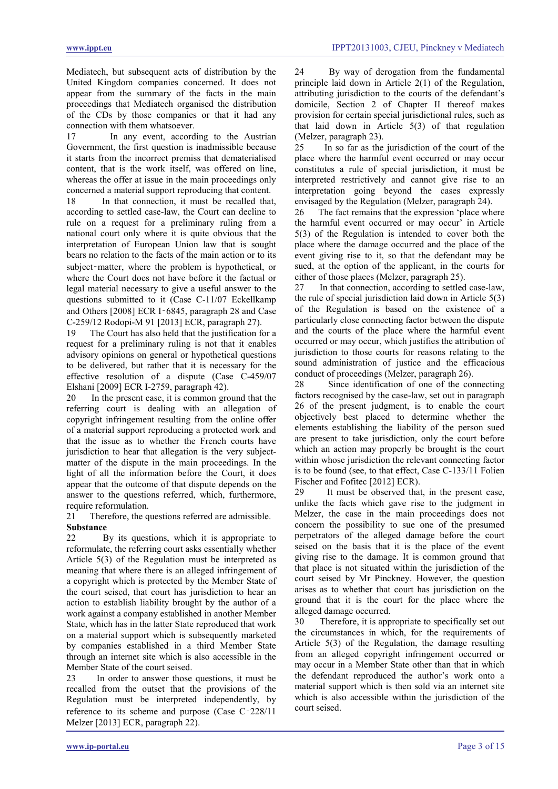Mediatech, but subsequent acts of distribution by the United Kingdom companies concerned. It does not appear from the summary of the facts in the main proceedings that Mediatech organised the distribution of the CDs by those companies or that it had any connection with them whatsoever.

17 In any event, according to the Austrian Government, the first question is inadmissible because it starts from the incorrect premiss that dematerialised content, that is the work itself, was offered on line, whereas the offer at issue in the main proceedings only concerned a material support reproducing that content.

18 In that connection, it must be recalled that, according to settled case-law, the Court can decline to rule on a request for a preliminary ruling from a national court only where it is quite obvious that the interpretation of European Union law that is sought bears no relation to the facts of the main action or to its subject–matter, where the problem is hypothetical, or where the Court does not have before it the factual or legal material necessary to give a useful answer to the questions submitted to it (Case C-11/07 Eckellkamp and Others [2008] ECR I‑6845, paragraph 28 and Case C-259/12 Rodopi-M 91 [2013] ECR, paragraph 27).

19 The Court has also held that the justification for a request for a preliminary ruling is not that it enables advisory opinions on general or hypothetical questions to be delivered, but rather that it is necessary for the effective resolution of a dispute (Case C-459/07 Elshani [2009] ECR I-2759, paragraph 42).

20 In the present case, it is common ground that the referring court is dealing with an allegation of copyright infringement resulting from the online offer of a material support reproducing a protected work and that the issue as to whether the French courts have jurisdiction to hear that allegation is the very subjectmatter of the dispute in the main proceedings. In the light of all the information before the Court, it does appear that the outcome of that dispute depends on the answer to the questions referred, which, furthermore, require reformulation.

## 21 Therefore, the questions referred are admissible. **Substance**

22 By its questions, which it is appropriate to reformulate, the referring court asks essentially whether Article 5(3) of the Regulation must be interpreted as meaning that where there is an alleged infringement of a copyright which is protected by the Member State of the court seised, that court has jurisdiction to hear an action to establish liability brought by the author of a work against a company established in another Member State, which has in the latter State reproduced that work on a material support which is subsequently marketed by companies established in a third Member State through an internet site which is also accessible in the Member State of the court seised.

23 In order to answer those questions, it must be recalled from the outset that the provisions of the Regulation must be interpreted independently, by reference to its scheme and purpose (Case C‑228/11 Melzer [2013] ECR, paragraph 22).

24 By way of derogation from the fundamental principle laid down in Article 2(1) of the Regulation, attributing jurisdiction to the courts of the defendant's domicile, Section 2 of Chapter II thereof makes provision for certain special jurisdictional rules, such as that laid down in Article 5(3) of that regulation (Melzer, paragraph 23).<br>25 In so far as the

In so far as the jurisdiction of the court of the place where the harmful event occurred or may occur constitutes a rule of special jurisdiction, it must be interpreted restrictively and cannot give rise to an interpretation going beyond the cases expressly envisaged by the Regulation (Melzer, paragraph 24).

26 The fact remains that the expression 'place where the harmful event occurred or may occur' in Article 5(3) of the Regulation is intended to cover both the place where the damage occurred and the place of the event giving rise to it, so that the defendant may be sued, at the option of the applicant, in the courts for either of those places (Melzer, paragraph 25).

27 In that connection, according to settled case-law, the rule of special jurisdiction laid down in Article 5(3) of the Regulation is based on the existence of a particularly close connecting factor between the dispute and the courts of the place where the harmful event occurred or may occur, which justifies the attribution of jurisdiction to those courts for reasons relating to the sound administration of justice and the efficacious conduct of proceedings (Melzer, paragraph 26).<br>28 Since identification of one of the co

Since identification of one of the connecting factors recognised by the case-law, set out in paragraph 26 of the present judgment, is to enable the court objectively best placed to determine whether the elements establishing the liability of the person sued are present to take jurisdiction, only the court before which an action may properly be brought is the court within whose jurisdiction the relevant connecting factor is to be found (see, to that effect, Case C-133/11 Folien Fischer and Fofitec [2012] ECR).

29 It must be observed that, in the present case, unlike the facts which gave rise to the judgment in Melzer, the case in the main proceedings does not concern the possibility to sue one of the presumed perpetrators of the alleged damage before the court seised on the basis that it is the place of the event giving rise to the damage. It is common ground that that place is not situated within the jurisdiction of the court seised by Mr Pinckney. However, the question arises as to whether that court has jurisdiction on the ground that it is the court for the place where the alleged damage occurred.

30 Therefore, it is appropriate to specifically set out the circumstances in which, for the requirements of Article 5(3) of the Regulation, the damage resulting from an alleged copyright infringement occurred or may occur in a Member State other than that in which the defendant reproduced the author's work onto a material support which is then sold via an internet site which is also accessible within the jurisdiction of the court seised.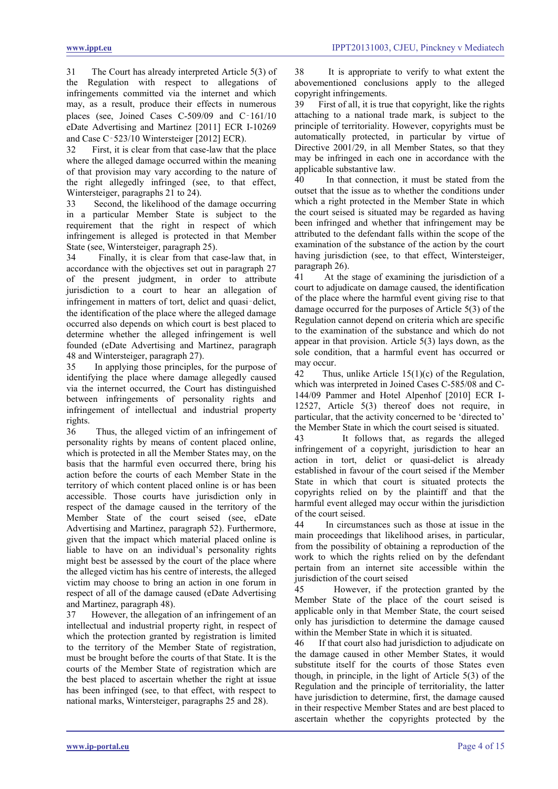31 The Court has already interpreted Article 5(3) of the Regulation with respect to allegations of infringements committed via the internet and which may, as a result, produce their effects in numerous places (see, Joined Cases C-509/09 and C‑161/10 eDate Advertising and Martinez [2011] ECR I-10269 and Case C‑523/10 Wintersteiger [2012] ECR).

32 First, it is clear from that case-law that the place where the alleged damage occurred within the meaning of that provision may vary according to the nature of the right allegedly infringed (see, to that effect, Wintersteiger, paragraphs 21 to 24).

33 Second, the likelihood of the damage occurring in a particular Member State is subject to the requirement that the right in respect of which infringement is alleged is protected in that Member State (see, Wintersteiger, paragraph 25).

34 Finally, it is clear from that case-law that, in accordance with the objectives set out in paragraph 27 of the present judgment, in order to attribute jurisdiction to a court to hear an allegation of infringement in matters of tort, delict and quasi-delict, the identification of the place where the alleged damage occurred also depends on which court is best placed to determine whether the alleged infringement is well founded (eDate Advertising and Martinez, paragraph 48 and Wintersteiger, paragraph 27).

35 In applying those principles, for the purpose of identifying the place where damage allegedly caused via the internet occurred, the Court has distinguished between infringements of personality rights and infringement of intellectual and industrial property rights.

36 Thus, the alleged victim of an infringement of personality rights by means of content placed online, which is protected in all the Member States may, on the basis that the harmful even occurred there, bring his action before the courts of each Member State in the territory of which content placed online is or has been accessible. Those courts have jurisdiction only in respect of the damage caused in the territory of the Member State of the court seised (see, eDate Advertising and Martinez, paragraph 52). Furthermore, given that the impact which material placed online is liable to have on an individual's personality rights might best be assessed by the court of the place where the alleged victim has his centre of interests, the alleged victim may choose to bring an action in one forum in respect of all of the damage caused (eDate Advertising

and Martinez, paragraph 48).<br>37 However, the allegation However, the allegation of an infringement of an intellectual and industrial property right, in respect of which the protection granted by registration is limited to the territory of the Member State of registration, must be brought before the courts of that State. It is the courts of the Member State of registration which are the best placed to ascertain whether the right at issue has been infringed (see, to that effect, with respect to national marks, Wintersteiger, paragraphs 25 and 28).

38 It is appropriate to verify to what extent the abovementioned conclusions apply to the alleged copyright infringements.

39 First of all, it is true that copyright, like the rights attaching to a national trade mark, is subject to the principle of territoriality. However, copyrights must be automatically protected, in particular by virtue of Directive 2001/29, in all Member States, so that they may be infringed in each one in accordance with the applicable substantive law.

In that connection, it must be stated from the outset that the issue as to whether the conditions under which a right protected in the Member State in which the court seised is situated may be regarded as having been infringed and whether that infringement may be attributed to the defendant falls within the scope of the examination of the substance of the action by the court having jurisdiction (see, to that effect, Wintersteiger, paragraph 26).

41 At the stage of examining the jurisdiction of a court to adjudicate on damage caused, the identification of the place where the harmful event giving rise to that damage occurred for the purposes of Article 5(3) of the Regulation cannot depend on criteria which are specific to the examination of the substance and which do not appear in that provision. Article 5(3) lays down, as the sole condition, that a harmful event has occurred or may occur.<br>42 Thu

Thus, unlike Article  $15(1)(c)$  of the Regulation, which was interpreted in Joined Cases C-585/08 and C-144/09 Pammer and Hotel Alpenhof [2010] ECR I-12527, Article 5(3) thereof does not require, in particular, that the activity concerned to be 'directed to' the Member State in which the court seised is situated.

43 It follows that, as regards the alleged infringement of a copyright, jurisdiction to hear an action in tort, delict or quasi-delict is already established in favour of the court seised if the Member State in which that court is situated protects the copyrights relied on by the plaintiff and that the harmful event alleged may occur within the jurisdiction of the court seised.

44 In circumstances such as those at issue in the main proceedings that likelihood arises, in particular, from the possibility of obtaining a reproduction of the work to which the rights relied on by the defendant pertain from an internet site accessible within the jurisdiction of the court seised

45 However, if the protection granted by the Member State of the place of the court seised is applicable only in that Member State, the court seised only has jurisdiction to determine the damage caused within the Member State in which it is situated.

46 If that court also had jurisdiction to adjudicate on the damage caused in other Member States, it would substitute itself for the courts of those States even though, in principle, in the light of Article 5(3) of the Regulation and the principle of territoriality, the latter have jurisdiction to determine, first, the damage caused in their respective Member States and are best placed to ascertain whether the copyrights protected by the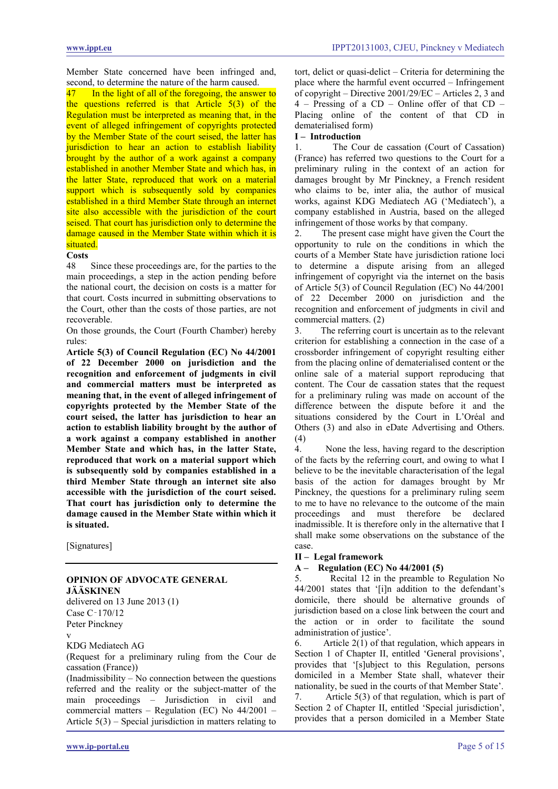Member State concerned have been infringed and, second, to determine the nature of the harm caused.

<span id="page-4-0"></span>47 In the light of all of the foregoing, the answer to the questions referred is that Article  $5(3)$  of the Regulation must be interpreted as meaning that, in the event of alleged infringement of copyrights protected by the Member State of the court seised, the latter has jurisdiction to hear an action to establish liability brought by the author of a work against a company established in another Member State and which has, in the latter State, reproduced that work on a material support which is subsequently sold by companies established in a third Member State through an internet site also accessible with the jurisdiction of the court seised. That court has jurisdiction only to determine the damage caused in the Member State within which it is situated.

#### **Costs**

48 Since these proceedings are, for the parties to the main proceedings, a step in the action pending before the national court, the decision on costs is a matter for that court. Costs incurred in submitting observations to the Court, other than the costs of those parties, are not recoverable.

On those grounds, the Court (Fourth Chamber) hereby rules:

**Article 5(3) of Council Regulation (EC) No 44/2001 of 22 December 2000 on jurisdiction and the recognition and enforcement of judgments in civil and commercial matters must be interpreted as meaning that, in the event of alleged infringement of copyrights protected by the Member State of the court seised, the latter has jurisdiction to hear an action to establish liability brought by the author of a work against a company established in another Member State and which has, in the latter State, reproduced that work on a material support which is subsequently sold by companies established in a third Member State through an internet site also accessible with the jurisdiction of the court seised. That court has jurisdiction only to determine the damage caused in the Member State within which it is situated.**

[Signatures]

#### **OPINION OF ADVOCATE GENERAL JÄÄSKINEN**

delivered on 13 June 2013 (1) Case C‑170/12

Peter Pinckney

v

KDG Mediatech AG

(Request for a preliminary ruling from the Cour de cassation (France))

(Inadmissibility – No connection between the questions referred and the reality or the subject-matter of the main proceedings – Jurisdiction in civil and commercial matters – Regulation (EC) No 44/2001 – Article 5(3) – Special jurisdiction in matters relating to tort, delict or quasi-delict – Criteria for determining the place where the harmful event occurred – Infringement of copyright – Directive 2001/29/EC – Articles 2, 3 and 4 – Pressing of a CD – Online offer of that CD – Placing online of the content of that CD in dematerialised form)

# **I** – **Introduction**<br>1 The Co

The Cour de cassation (Court of Cassation) (France) has referred two questions to the Court for a preliminary ruling in the context of an action for damages brought by Mr Pinckney, a French resident who claims to be, inter alia, the author of musical works, against KDG Mediatech AG ('Mediatech'), a company established in Austria, based on the alleged infringement of those works by that company.

2. The present case might have given the Court the opportunity to rule on the conditions in which the courts of a Member State have jurisdiction ratione loci to determine a dispute arising from an alleged infringement of copyright via the internet on the basis of Article 5(3) of Council Regulation (EC) No 44/2001 of 22 December 2000 on jurisdiction and the recognition and enforcement of judgments in civil and commercial matters. (2)

3. The referring court is uncertain as to the relevant criterion for establishing a connection in the case of a crossborder infringement of copyright resulting either from the placing online of dematerialised content or the online sale of a material support reproducing that content. The Cour de cassation states that the request for a preliminary ruling was made on account of the difference between the dispute before it and the situations considered by the Court in L'Oréal and Others (3) and also in eDate Advertising and Others. (4)

4. None the less, having regard to the description of the facts by the referring court, and owing to what I believe to be the inevitable characterisation of the legal basis of the action for damages brought by Mr Pinckney, the questions for a preliminary ruling seem to me to have no relevance to the outcome of the main proceedings and must therefore be declared inadmissible. It is therefore only in the alternative that I shall make some observations on the substance of the case.

**II – Legal framework** 

## **A – Regulation (EC) No 44/2001 (5)**

5. Recital 12 in the preamble to Regulation No 44/2001 states that '[i]n addition to the defendant's domicile, there should be alternative grounds of jurisdiction based on a close link between the court and the action or in order to facilitate the sound administration of justice'.

6. Article 2(1) of that regulation, which appears in Section 1 of Chapter II, entitled 'General provisions', provides that '[s]ubject to this Regulation, persons domiciled in a Member State shall, whatever their nationality, be sued in the courts of that Member State'.

7. Article 5(3) of that regulation, which is part of Section 2 of Chapter II, entitled 'Special jurisdiction', provides that a person domiciled in a Member State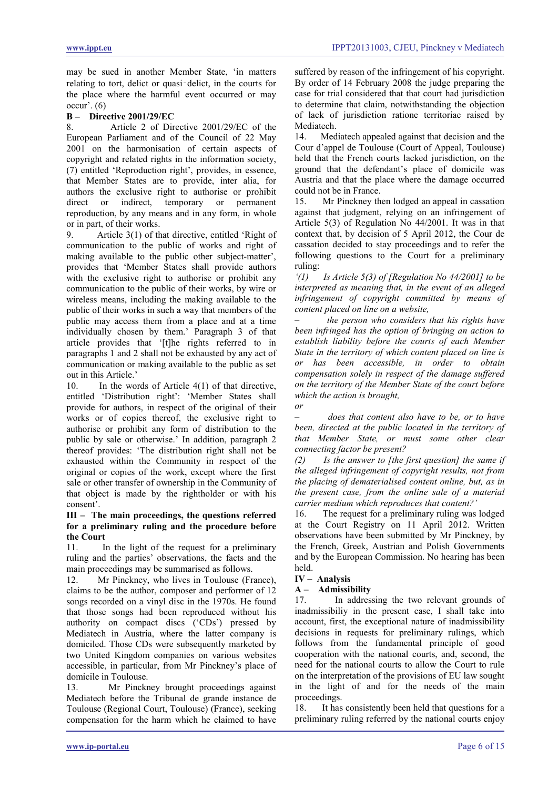may be sued in another Member State, 'in matters relating to tort, delict or quasi‑delict, in the courts for the place where the harmful event occurred or may  $occur'$ .  $(6)$ 

# **B – Directive 2001/29/EC**

8. Article 2 of Directive 2001/29/EC of the European Parliament and of the Council of 22 May 2001 on the harmonisation of certain aspects of copyright and related rights in the information society, (7) entitled 'Reproduction right', provides, in essence, that Member States are to provide, inter alia, for authors the exclusive right to authorise or prohibit direct or indirect, temporary or permanent reproduction, by any means and in any form, in whole or in part, of their works.

9. Article 3(1) of that directive, entitled 'Right of communication to the public of works and right of making available to the public other subject-matter', provides that 'Member States shall provide authors with the exclusive right to authorise or prohibit any communication to the public of their works, by wire or wireless means, including the making available to the public of their works in such a way that members of the public may access them from a place and at a time individually chosen by them.' Paragraph 3 of that article provides that '[t]he rights referred to in paragraphs 1 and 2 shall not be exhausted by any act of communication or making available to the public as set out in this Article.'

10. In the words of Article 4(1) of that directive, entitled 'Distribution right': 'Member States shall provide for authors, in respect of the original of their works or of copies thereof, the exclusive right to authorise or prohibit any form of distribution to the public by sale or otherwise.' In addition, paragraph 2 thereof provides: 'The distribution right shall not be exhausted within the Community in respect of the original or copies of the work, except where the first sale or other transfer of ownership in the Community of that object is made by the rightholder or with his consent'.

# **III – The main proceedings, the questions referred for a preliminary ruling and the procedure before the Court**

In the light of the request for a preliminary ruling and the parties' observations, the facts and the main proceedings may be summarised as follows.

12. Mr Pinckney, who lives in Toulouse (France), claims to be the author, composer and performer of 12 songs recorded on a vinyl disc in the 1970s. He found that those songs had been reproduced without his authority on compact discs ('CDs') pressed by Mediatech in Austria, where the latter company is domiciled. Those CDs were subsequently marketed by two United Kingdom companies on various websites accessible, in particular, from Mr Pinckney's place of domicile in Toulouse.

13. Mr Pinckney brought proceedings against Mediatech before the Tribunal de grande instance de Toulouse (Regional Court, Toulouse) (France), seeking compensation for the harm which he claimed to have suffered by reason of the infringement of his copyright. By order of 14 February 2008 the judge preparing the case for trial considered that that court had jurisdiction to determine that claim, notwithstanding the objection of lack of jurisdiction ratione territoriae raised by Mediatech.

14. Mediatech appealed against that decision and the Cour d'appel de Toulouse (Court of Appeal, Toulouse) held that the French courts lacked jurisdiction, on the ground that the defendant's place of domicile was Austria and that the place where the damage occurred could not be in France.

15. Mr Pinckney then lodged an appeal in cassation against that judgment, relying on an infringement of Article 5(3) of Regulation No 44/2001. It was in that context that, by decision of 5 April 2012, the Cour de cassation decided to stay proceedings and to refer the following questions to the Court for a preliminary ruling:

*'(1) Is Article 5(3) of [Regulation No 44/2001] to be interpreted as meaning that, in the event of an alleged infringement of copyright committed by means of content placed on line on a website,*

*– the person who considers that his rights have been infringed has the option of bringing an action to establish liability before the courts of each Member State in the territory of which content placed on line is or has been accessible, in order to obtain compensation solely in respect of the damage suffered on the territory of the Member State of the court before which the action is brought,* 

*or*

*– does that content also have to be, or to have been, directed at the public located in the territory of that Member State, or must some other clear connecting factor be present?*

*(2) Is the answer to [the first question] the same if the alleged infringement of copyright results, not from the placing of dematerialised content online, but, as in the present case, from the online sale of a material carrier medium which reproduces that content?'*

16. The request for a preliminary ruling was lodged at the Court Registry on 11 April 2012. Written observations have been submitted by Mr Pinckney, by the French, Greek, Austrian and Polish Governments and by the European Commission. No hearing has been held.

## **IV – Analysis**

**A – Admissibility** 

17. In addressing the two relevant grounds of inadmissibiliy in the present case, I shall take into account, first, the exceptional nature of inadmissibility decisions in requests for preliminary rulings, which follows from the fundamental principle of good cooperation with the national courts, and, second, the need for the national courts to allow the Court to rule on the interpretation of the provisions of EU law sought in the light of and for the needs of the main proceedings.

18. It has consistently been held that questions for a preliminary ruling referred by the national courts enjoy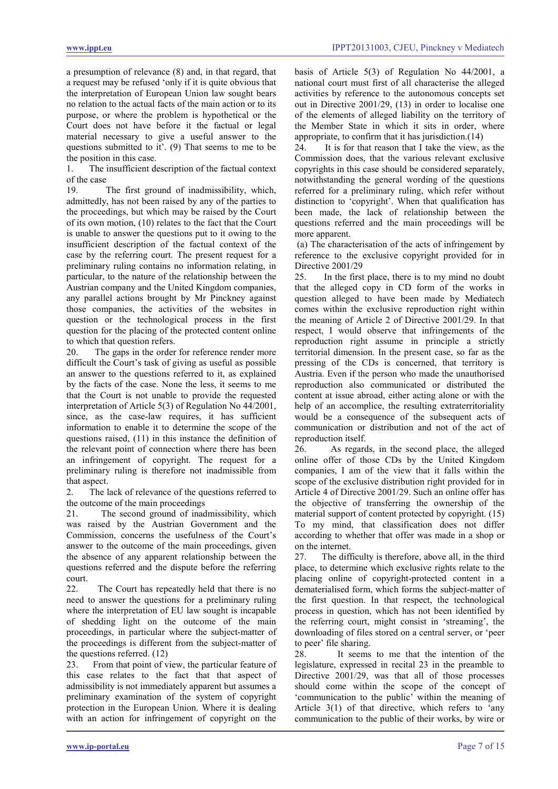a presumption of relevance (8) and, in that regard, that a request may be refused 'only if it is quite obvious that the interpretation of European Union law sought bears no relation to the actual facts of the main action or to its purpose, or where the problem is hypothetical or the Court does not have before it the factual or legal material necessary to give a useful answer to the questions submitted to it'. (9) That seems to me to be the position in this case.

1. The insufficient description of the factual context of the case

The first ground of inadmissibility, which, admittedly, has not been raised by any of the parties to the proceedings, but which may be raised by the Court of its own motion, (10) relates to the fact that the Court is unable to answer the questions put to it owing to the insufficient description of the factual context of the case by the referring court. The present request for a preliminary ruling contains no information relating, in particular, to the nature of the relationship between the Austrian company and the United Kingdom companies, any parallel actions brought by Mr Pinckney against those companies, the activities of the websites in question or the technological process in the first question for the placing of the protected content online to which that question refers.

20. The gaps in the order for reference render more difficult the Court's task of giving as useful as possible an answer to the questions referred to it, as explained by the facts of the case. None the less, it seems to me that the Court is not unable to provide the requested interpretation of Article 5(3) of Regulation No 44/2001, since, as the case-law requires, it has sufficient information to enable it to determine the scope of the questions raised, (11) in this instance the definition of the relevant point of connection where there has been an infringement of copyright. The request for a preliminary ruling is therefore not inadmissible from that aspect.

2. The lack of relevance of the questions referred to the outcome of the main proceedings

21. The second ground of inadmissibility, which was raised by the Austrian Government and the Commission, concerns the usefulness of the Court's answer to the outcome of the main proceedings, given the absence of any apparent relationship between the questions referred and the dispute before the referring court.

22. The Court has repeatedly held that there is no need to answer the questions for a preliminary ruling where the interpretation of EU law sought is incapable of shedding light on the outcome of the main proceedings, in particular where the subject-matter of the proceedings is different from the subject-matter of the questions referred. (12)

23. From that point of view, the particular feature of this case relates to the fact that that aspect of admissibility is not immediately apparent but assumes a preliminary examination of the system of copyright protection in the European Union. Where it is dealing with an action for infringement of copyright on the

basis of Article 5(3) of Regulation No 44/2001, a national court must first of all characterise the alleged activities by reference to the autonomous concepts set out in Directive 2001/29, (13) in order to localise one of the elements of alleged liability on the territory of the Member State in which it sits in order, where appropriate, to confirm that it has jurisdiction.(14)<br>24 It is for that reason that I take the view

It is for that reason that I take the view, as the Commission does, that the various relevant exclusive copyrights in this case should be considered separately, notwithstanding the general wording of the questions referred for a preliminary ruling, which refer without distinction to 'copyright'. When that qualification has been made, the lack of relationship between the questions referred and the main proceedings will be more apparent.

(a) The characterisation of the acts of infringement by reference to the exclusive copyright provided for in Directive 2001/29

25. In the first place, there is to my mind no doubt that the alleged copy in CD form of the works in question alleged to have been made by Mediatech comes within the exclusive reproduction right within the meaning of Article 2 of Directive 2001/29. In that respect, I would observe that infringements of the reproduction right assume in principle a strictly territorial dimension. In the present case, so far as the pressing of the CDs is concerned, that territory is Austria. Even if the person who made the unauthorised reproduction also communicated or distributed the content at issue abroad, either acting alone or with the help of an accomplice, the resulting extraterritoriality would be a consequence of the subsequent acts of communication or distribution and not of the act of reproduction itself.

26. As regards, in the second place, the alleged online offer of those CDs by the United Kingdom companies, I am of the view that it falls within the scope of the exclusive distribution right provided for in Article 4 of Directive 2001/29. Such an online offer has the objective of transferring the ownership of the material support of content protected by copyright. (15) To my mind, that classification does not differ according to whether that offer was made in a shop or on the internet.

27. The difficulty is therefore, above all, in the third place, to determine which exclusive rights relate to the placing online of copyright-protected content in a dematerialised form, which forms the subject-matter of the first question. In that respect, the technological process in question, which has not been identified by the referring court, might consist in 'streaming', the downloading of files stored on a central server, or 'peer to peer' file sharing.

28. It seems to me that the intention of the legislature, expressed in recital 23 in the preamble to Directive 2001/29, was that all of those processes should come within the scope of the concept of 'communication to the public' within the meaning of Article 3(1) of that directive, which refers to 'any communication to the public of their works, by wire or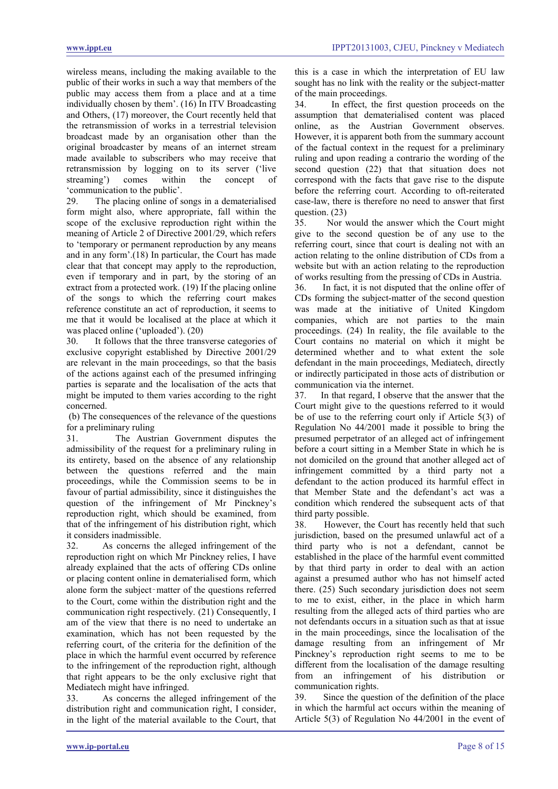wireless means, including the making available to the public of their works in such a way that members of the public may access them from a place and at a time individually chosen by them'. (16) In ITV Broadcasting and Others, (17) moreover, the Court recently held that the retransmission of works in a terrestrial television broadcast made by an organisation other than the original broadcaster by means of an internet stream made available to subscribers who may receive that retransmission by logging on to its server ('live streaming') comes within the concept of streaming') comes within the concept of 'communication to the public'.

29. The placing online of songs in a dematerialised form might also, where appropriate, fall within the scope of the exclusive reproduction right within the meaning of Article 2 of Directive 2001/29, which refers to 'temporary or permanent reproduction by any means and in any form'.(18) In particular, the Court has made clear that that concept may apply to the reproduction, even if temporary and in part, by the storing of an extract from a protected work. (19) If the placing online of the songs to which the referring court makes reference constitute an act of reproduction, it seems to me that it would be localised at the place at which it was placed online ('uploaded'). (20)

30. It follows that the three transverse categories of exclusive copyright established by Directive 2001/29 are relevant in the main proceedings, so that the basis of the actions against each of the presumed infringing parties is separate and the localisation of the acts that might be imputed to them varies according to the right concerned.

(b) The consequences of the relevance of the questions for a preliminary ruling

31. The Austrian Government disputes the admissibility of the request for a preliminary ruling in its entirety, based on the absence of any relationship between the questions referred and the main proceedings, while the Commission seems to be in favour of partial admissibility, since it distinguishes the question of the infringement of Mr Pinckney's reproduction right, which should be examined, from that of the infringement of his distribution right, which it considers inadmissible.

32. As concerns the alleged infringement of the reproduction right on which Mr Pinckney relies, I have already explained that the acts of offering CDs online or placing content online in dematerialised form, which alone form the subject‑matter of the questions referred to the Court, come within the distribution right and the communication right respectively. (21) Consequently, I am of the view that there is no need to undertake an examination, which has not been requested by the referring court, of the criteria for the definition of the place in which the harmful event occurred by reference to the infringement of the reproduction right, although that right appears to be the only exclusive right that Mediatech might have infringed.

33. As concerns the alleged infringement of the distribution right and communication right, I consider, in the light of the material available to the Court, that this is a case in which the interpretation of EU law sought has no link with the reality or the subject-matter of the main proceedings.

34. In effect, the first question proceeds on the assumption that dematerialised content was placed online, as the Austrian Government observes. However, it is apparent both from the summary account of the factual context in the request for a preliminary ruling and upon reading a contrario the wording of the second question (22) that that situation does not correspond with the facts that gave rise to the dispute before the referring court. According to oft-reiterated case-law, there is therefore no need to answer that first question. (23)

35. Nor would the answer which the Court might give to the second question be of any use to the referring court, since that court is dealing not with an action relating to the online distribution of CDs from a website but with an action relating to the reproduction of works resulting from the pressing of CDs in Austria.

36. In fact, it is not disputed that the online offer of CDs forming the subject-matter of the second question was made at the initiative of United Kingdom companies, which are not parties to the main proceedings. (24) In reality, the file available to the Court contains no material on which it might be determined whether and to what extent the sole defendant in the main proceedings, Mediatech, directly or indirectly participated in those acts of distribution or communication via the internet.

37. In that regard, I observe that the answer that the Court might give to the questions referred to it would be of use to the referring court only if Article 5(3) of Regulation No 44/2001 made it possible to bring the presumed perpetrator of an alleged act of infringement before a court sitting in a Member State in which he is not domiciled on the ground that another alleged act of infringement committed by a third party not a defendant to the action produced its harmful effect in that Member State and the defendant's act was a condition which rendered the subsequent acts of that third party possible.

38. However, the Court has recently held that such jurisdiction, based on the presumed unlawful act of a third party who is not a defendant, cannot be established in the place of the harmful event committed by that third party in order to deal with an action against a presumed author who has not himself acted there. (25) Such secondary jurisdiction does not seem to me to exist, either, in the place in which harm resulting from the alleged acts of third parties who are not defendants occurs in a situation such as that at issue in the main proceedings, since the localisation of the damage resulting from an infringement of Mr Pinckney's reproduction right seems to me to be different from the localisation of the damage resulting from an infringement of his distribution or communication rights.

39. Since the question of the definition of the place in which the harmful act occurs within the meaning of Article 5(3) of Regulation No 44/2001 in the event of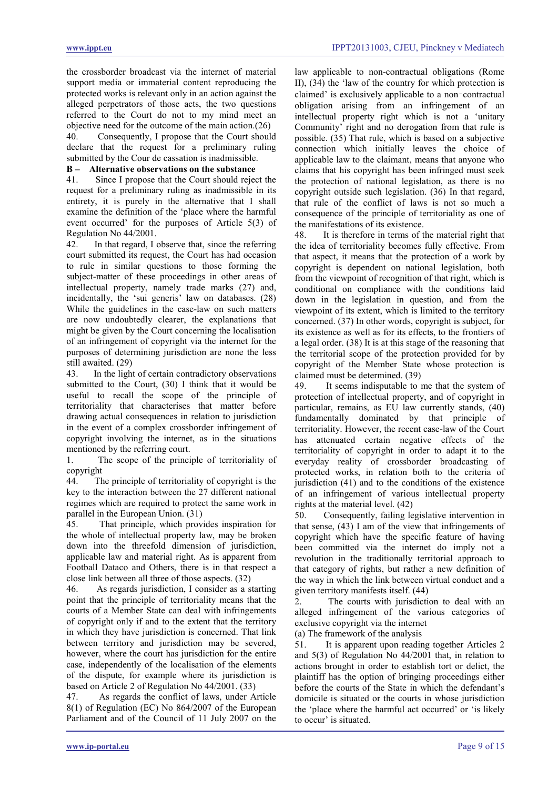the crossborder broadcast via the internet of material support media or immaterial content reproducing the protected works is relevant only in an action against the alleged perpetrators of those acts, the two questions referred to the Court do not to my mind meet an objective need for the outcome of the main action.(26)

40. Consequently, I propose that the Court should declare that the request for a preliminary ruling submitted by the Cour de cassation is inadmissible.

# **B – Alternative observations on the substance**

Since I propose that the Court should reject the request for a preliminary ruling as inadmissible in its entirety, it is purely in the alternative that I shall examine the definition of the 'place where the harmful event occurred' for the purposes of Article 5(3) of Regulation No 44/2001.

42. In that regard, I observe that, since the referring court submitted its request, the Court has had occasion to rule in similar questions to those forming the subject-matter of these proceedings in other areas of intellectual property, namely trade marks (27) and, incidentally, the 'sui generis' law on databases. (28) While the guidelines in the case-law on such matters are now undoubtedly clearer, the explanations that might be given by the Court concerning the localisation of an infringement of copyright via the internet for the purposes of determining jurisdiction are none the less still awaited. (29)

43. In the light of certain contradictory observations submitted to the Court, (30) I think that it would be useful to recall the scope of the principle of territoriality that characterises that matter before drawing actual consequences in relation to jurisdiction in the event of a complex crossborder infringement of copyright involving the internet, as in the situations mentioned by the referring court.

1. The scope of the principle of territoriality of copyright

44. The principle of territoriality of copyright is the key to the interaction between the 27 different national regimes which are required to protect the same work in parallel in the European Union. (31)

45. That principle, which provides inspiration for the whole of intellectual property law, may be broken down into the threefold dimension of jurisdiction, applicable law and material right. As is apparent from Football Dataco and Others, there is in that respect a close link between all three of those aspects. (32)

46. As regards jurisdiction, I consider as a starting point that the principle of territoriality means that the courts of a Member State can deal with infringements of copyright only if and to the extent that the territory in which they have jurisdiction is concerned. That link between territory and jurisdiction may be severed, however, where the court has jurisdiction for the entire case, independently of the localisation of the elements of the dispute, for example where its jurisdiction is based on Article 2 of Regulation No 44/2001. (33)

47. As regards the conflict of laws, under Article 8(1) of Regulation (EC) No 864/2007 of the European Parliament and of the Council of 11 July 2007 on the law applicable to non-contractual obligations (Rome II), (34) the 'law of the country for which protection is claimed' is exclusively applicable to a non‑contractual obligation arising from an infringement of an intellectual property right which is not a 'unitary Community' right and no derogation from that rule is possible. (35) That rule, which is based on a subjective connection which initially leaves the choice of applicable law to the claimant, means that anyone who claims that his copyright has been infringed must seek the protection of national legislation, as there is no copyright outside such legislation. (36) In that regard, that rule of the conflict of laws is not so much a consequence of the principle of territoriality as one of the manifestations of its existence.

48. It is therefore in terms of the material right that the idea of territoriality becomes fully effective. From that aspect, it means that the protection of a work by copyright is dependent on national legislation, both from the viewpoint of recognition of that right, which is conditional on compliance with the conditions laid down in the legislation in question, and from the viewpoint of its extent, which is limited to the territory concerned. (37) In other words, copyright is subject, for its existence as well as for its effects, to the frontiers of a legal order. (38) It is at this stage of the reasoning that the territorial scope of the protection provided for by copyright of the Member State whose protection is claimed must be determined. (39)

49. It seems indisputable to me that the system of protection of intellectual property, and of copyright in particular, remains, as EU law currently stands, (40) fundamentally dominated by that principle of territoriality. However, the recent case-law of the Court has attenuated certain negative effects of the territoriality of copyright in order to adapt it to the everyday reality of crossborder broadcasting of protected works, in relation both to the criteria of jurisdiction (41) and to the conditions of the existence of an infringement of various intellectual property rights at the material level. (42)

50. Consequently, failing legislative intervention in that sense, (43) I am of the view that infringements of copyright which have the specific feature of having been committed via the internet do imply not a revolution in the traditionally territorial approach to that category of rights, but rather a new definition of the way in which the link between virtual conduct and a given territory manifests itself. (44)

2. The courts with jurisdiction to deal with an alleged infringement of the various categories of exclusive copyright via the internet

(a) The framework of the analysis

51. It is apparent upon reading together Articles 2 and 5(3) of Regulation No 44/2001 that, in relation to actions brought in order to establish tort or delict, the plaintiff has the option of bringing proceedings either before the courts of the State in which the defendant's domicile is situated or the courts in whose jurisdiction the 'place where the harmful act occurred' or 'is likely to occur' is situated.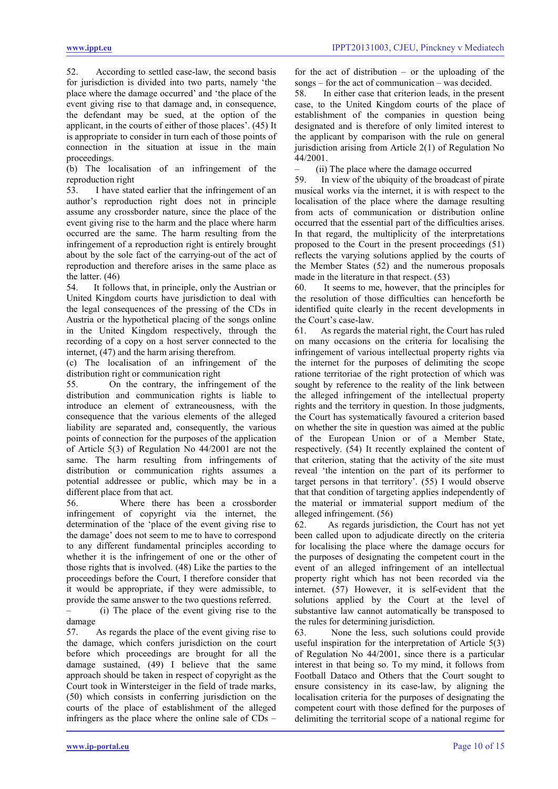52. According to settled case-law, the second basis for jurisdiction is divided into two parts, namely 'the place where the damage occurred' and 'the place of the event giving rise to that damage and, in consequence, the defendant may be sued, at the option of the applicant, in the courts of either of those places'. (45) It is appropriate to consider in turn each of those points of connection in the situation at issue in the main proceedings.

(b) The localisation of an infringement of the reproduction right<br>53 I have state

I have stated earlier that the infringement of an author's reproduction right does not in principle assume any crossborder nature, since the place of the event giving rise to the harm and the place where harm occurred are the same. The harm resulting from the infringement of a reproduction right is entirely brought about by the sole fact of the carrying-out of the act of reproduction and therefore arises in the same place as the latter.  $(46)$ <br>54. It follo

It follows that, in principle, only the Austrian or United Kingdom courts have jurisdiction to deal with the legal consequences of the pressing of the CDs in Austria or the hypothetical placing of the songs online in the United Kingdom respectively, through the recording of a copy on a host server connected to the internet, (47) and the harm arising therefrom.

(c) The localisation of an infringement of the distribution right or communication right

55. On the contrary, the infringement of the distribution and communication rights is liable to introduce an element of extraneousness, with the consequence that the various elements of the alleged liability are separated and, consequently, the various points of connection for the purposes of the application of Article 5(3) of Regulation No 44/2001 are not the same. The harm resulting from infringements of distribution or communication rights assumes a potential addressee or public, which may be in a different place from that act.

56. Where there has been a crossborder infringement of copyright via the internet, the determination of the 'place of the event giving rise to the damage' does not seem to me to have to correspond to any different fundamental principles according to whether it is the infringement of one or the other of those rights that is involved. (48) Like the parties to the proceedings before the Court, I therefore consider that it would be appropriate, if they were admissible, to provide the same answer to the two questions referred.

– (i) The place of the event giving rise to the damage

57. As regards the place of the event giving rise to the damage, which confers jurisdiction on the court before which proceedings are brought for all the damage sustained, (49) I believe that the same approach should be taken in respect of copyright as the Court took in Wintersteiger in the field of trade marks, (50) which consists in conferring jurisdiction on the courts of the place of establishment of the alleged infringers as the place where the online sale of CDs –

for the act of distribution – or the uploading of the songs – for the act of communication – was decided.

58. In either case that criterion leads, in the present case, to the United Kingdom courts of the place of establishment of the companies in question being designated and is therefore of only limited interest to the applicant by comparison with the rule on general jurisdiction arising from Article 2(1) of Regulation No 44/2001.

– (ii) The place where the damage occurred

59. In view of the ubiquity of the broadcast of pirate musical works via the internet, it is with respect to the localisation of the place where the damage resulting from acts of communication or distribution online occurred that the essential part of the difficulties arises. In that regard, the multiplicity of the interpretations proposed to the Court in the present proceedings (51) reflects the varying solutions applied by the courts of the Member States (52) and the numerous proposals made in the literature in that respect. (53)

60. It seems to me, however, that the principles for the resolution of those difficulties can henceforth be identified quite clearly in the recent developments in the Court's case-law.

61. As regards the material right, the Court has ruled on many occasions on the criteria for localising the infringement of various intellectual property rights via the internet for the purposes of delimiting the scope ratione territoriae of the right protection of which was sought by reference to the reality of the link between the alleged infringement of the intellectual property rights and the territory in question. In those judgments, the Court has systematically favoured a criterion based on whether the site in question was aimed at the public of the European Union or of a Member State, respectively. (54) It recently explained the content of that criterion, stating that the activity of the site must reveal 'the intention on the part of its performer to target persons in that territory'. (55) I would observe that that condition of targeting applies independently of the material or immaterial support medium of the alleged infringement. (56)

62. As regards jurisdiction, the Court has not yet been called upon to adjudicate directly on the criteria for localising the place where the damage occurs for the purposes of designating the competent court in the event of an alleged infringement of an intellectual property right which has not been recorded via the internet. (57) However, it is self-evident that the solutions applied by the Court at the level of substantive law cannot automatically be transposed to the rules for determining jurisdiction.

63. None the less, such solutions could provide useful inspiration for the interpretation of Article 5(3) of Regulation No 44/2001, since there is a particular interest in that being so. To my mind, it follows from Football Dataco and Others that the Court sought to ensure consistency in its case-law, by aligning the localisation criteria for the purposes of designating the competent court with those defined for the purposes of delimiting the territorial scope of a national regime for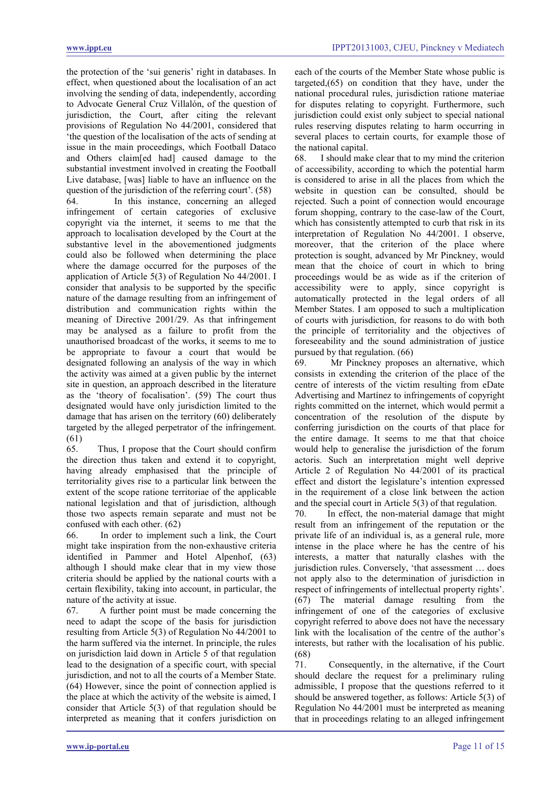the protection of the 'sui generis' right in databases. In effect, when questioned about the localisation of an act involving the sending of data, independently, according to Advocate General Cruz Villalón, of the question of jurisdiction, the Court, after citing the relevant provisions of Regulation No 44/2001, considered that 'the question of the localisation of the acts of sending at issue in the main proceedings, which Football Dataco and Others claim[ed had] caused damage to the substantial investment involved in creating the Football Live database, [was] liable to have an influence on the question of the jurisdiction of the referring court'. (58)

64. In this instance, concerning an alleged infringement of certain categories of exclusive copyright via the internet, it seems to me that the approach to localisation developed by the Court at the substantive level in the abovementioned judgments could also be followed when determining the place where the damage occurred for the purposes of the application of Article 5(3) of Regulation No 44/2001. I consider that analysis to be supported by the specific nature of the damage resulting from an infringement of distribution and communication rights within the meaning of Directive 2001/29. As that infringement may be analysed as a failure to profit from the unauthorised broadcast of the works, it seems to me to be appropriate to favour a court that would be designated following an analysis of the way in which the activity was aimed at a given public by the internet site in question, an approach described in the literature as the 'theory of focalisation'. (59) The court thus designated would have only jurisdiction limited to the damage that has arisen on the territory (60) deliberately targeted by the alleged perpetrator of the infringement. (61)

65. Thus, I propose that the Court should confirm the direction thus taken and extend it to copyright, having already emphasised that the principle of territoriality gives rise to a particular link between the extent of the scope ratione territoriae of the applicable national legislation and that of jurisdiction, although those two aspects remain separate and must not be confused with each other. (62)

66. In order to implement such a link, the Court might take inspiration from the non-exhaustive criteria identified in Pammer and Hotel Alpenhof, (63) although I should make clear that in my view those criteria should be applied by the national courts with a certain flexibility, taking into account, in particular, the nature of the activity at issue.

67. A further point must be made concerning the need to adapt the scope of the basis for jurisdiction resulting from Article 5(3) of Regulation No 44/2001 to the harm suffered via the internet. In principle, the rules on jurisdiction laid down in Article 5 of that regulation lead to the designation of a specific court, with special jurisdiction, and not to all the courts of a Member State. (64) However, since the point of connection applied is the place at which the activity of the website is aimed, I consider that Article 5(3) of that regulation should be interpreted as meaning that it confers jurisdiction on each of the courts of the Member State whose public is targeted,(65) on condition that they have, under the national procedural rules, jurisdiction ratione materiae for disputes relating to copyright. Furthermore, such jurisdiction could exist only subject to special national rules reserving disputes relating to harm occurring in several places to certain courts, for example those of the national capital.

68. I should make clear that to my mind the criterion of accessibility, according to which the potential harm is considered to arise in all the places from which the website in question can be consulted, should be rejected. Such a point of connection would encourage forum shopping, contrary to the case-law of the Court, which has consistently attempted to curb that risk in its interpretation of Regulation No 44/2001. I observe, moreover, that the criterion of the place where protection is sought, advanced by Mr Pinckney, would mean that the choice of court in which to bring proceedings would be as wide as if the criterion of accessibility were to apply, since copyright is automatically protected in the legal orders of all Member States. I am opposed to such a multiplication of courts with jurisdiction, for reasons to do with both the principle of territoriality and the objectives of foreseeability and the sound administration of justice pursued by that regulation. (66)

69. Mr Pinckney proposes an alternative, which consists in extending the criterion of the place of the centre of interests of the victim resulting from eDate Advertising and Martínez to infringements of copyright rights committed on the internet, which would permit a concentration of the resolution of the dispute by conferring jurisdiction on the courts of that place for the entire damage. It seems to me that that choice would help to generalise the jurisdiction of the forum actoris. Such an interpretation might well deprive Article 2 of Regulation No 44/2001 of its practical effect and distort the legislature's intention expressed in the requirement of a close link between the action and the special court in Article 5(3) of that regulation.

70. In effect, the non-material damage that might result from an infringement of the reputation or the private life of an individual is, as a general rule, more intense in the place where he has the centre of his interests, a matter that naturally clashes with the jurisdiction rules. Conversely, 'that assessment … does not apply also to the determination of jurisdiction in respect of infringements of intellectual property rights'. (67) The material damage resulting from the infringement of one of the categories of exclusive copyright referred to above does not have the necessary link with the localisation of the centre of the author's interests, but rather with the localisation of his public. (68)

71. Consequently, in the alternative, if the Court should declare the request for a preliminary ruling admissible, I propose that the questions referred to it should be answered together, as follows: Article 5(3) of Regulation No 44/2001 must be interpreted as meaning that in proceedings relating to an alleged infringement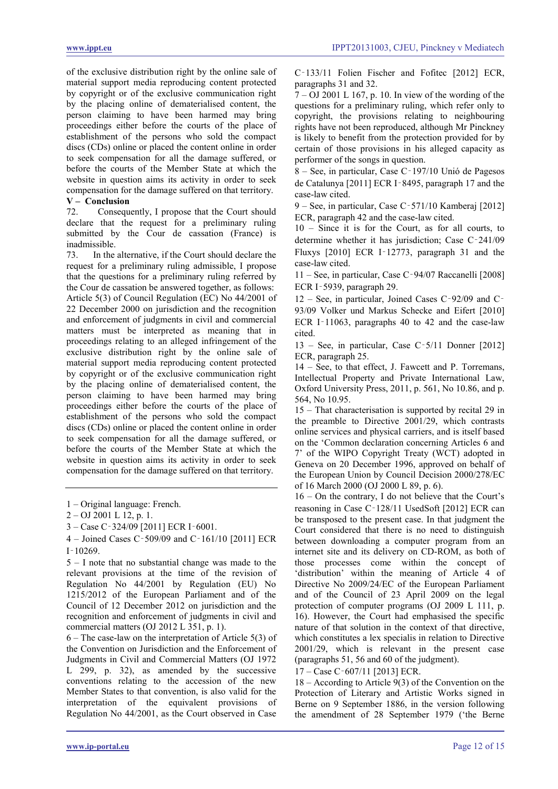of the exclusive distribution right by the online sale of material support media reproducing content protected by copyright or of the exclusive communication right by the placing online of dematerialised content, the person claiming to have been harmed may bring proceedings either before the courts of the place of establishment of the persons who sold the compact discs (CDs) online or placed the content online in order to seek compensation for all the damage suffered, or before the courts of the Member State at which the website in question aims its activity in order to seek compensation for the damage suffered on that territory.

# **V – Conclusion**

Consequently, I propose that the Court should declare that the request for a preliminary ruling submitted by the Cour de cassation (France) is inadmissible.

73. In the alternative, if the Court should declare the request for a preliminary ruling admissible, I propose that the questions for a preliminary ruling referred by the Cour de cassation be answered together, as follows: Article 5(3) of Council Regulation (EC) No 44/2001 of 22 December 2000 on jurisdiction and the recognition and enforcement of judgments in civil and commercial matters must be interpreted as meaning that in proceedings relating to an alleged infringement of the exclusive distribution right by the online sale of material support media reproducing content protected by copyright or of the exclusive communication right by the placing online of dematerialised content, the person claiming to have been harmed may bring proceedings either before the courts of the place of establishment of the persons who sold the compact discs (CDs) online or placed the content online in order to seek compensation for all the damage suffered, or before the courts of the Member State at which the website in question aims its activity in order to seek compensation for the damage suffered on that territory.

4 – Joined Cases C‑509/09 and C‑161/10 [2011] ECR  $I - 10269$ 

5 – I note that no substantial change was made to the relevant provisions at the time of the revision of Regulation No 44/2001 by Regulation (EU) No 1215/2012 of the European Parliament and of the Council of 12 December 2012 on jurisdiction and the recognition and enforcement of judgments in civil and commercial matters (OJ 2012 L 351, p. 1).

6 – The case-law on the interpretation of Article 5(3) of the Convention on Jurisdiction and the Enforcement of Judgments in Civil and Commercial Matters (OJ 1972 L 299, p. 32), as amended by the successive conventions relating to the accession of the new Member States to that convention, is also valid for the interpretation of the equivalent provisions of Regulation No 44/2001, as the Court observed in Case

C‑133/11 Folien Fischer and Fofitec [2012] ECR, paragraphs 31 and 32.

 $7 - OJ$  2001 L 167, p. 10. In view of the wording of the questions for a preliminary ruling, which refer only to copyright, the provisions relating to neighbouring rights have not been reproduced, although Mr Pinckney is likely to benefit from the protection provided for by certain of those provisions in his alleged capacity as performer of the songs in question.

8 – See, in particular, Case C‑197/10 Unió de Pagesos de Catalunya [2011] ECR I‑8495, paragraph 17 and the case-law cited.

9 – See, in particular, Case C‑571/10 Kamberaj [2012] ECR, paragraph 42 and the case-law cited.

10 – Since it is for the Court, as for all courts, to determine whether it has jurisdiction; Case C‑241/09 Fluxys [2010] ECR I‑12773, paragraph 31 and the case-law cited.

11 – See, in particular, Case C‑94/07 Raccanelli [2008] ECR I‑5939, paragraph 29.

12 – See, in particular, Joined Cases C‑92/09 and C‑ 93/09 Volker und Markus Schecke and Eifert [2010] ECR I-11063, paragraphs 40 to 42 and the case-law cited.

13 – See, in particular, Case C‑5/11 Donner [2012] ECR, paragraph 25.

14 – See, to that effect, J. Fawcett and P. Torremans, Intellectual Property and Private International Law, Oxford University Press, 2011, p. 561, No 10.86, and p. 564, No 10.95.

15 – That characterisation is supported by recital 29 in the preamble to Directive 2001/29, which contrasts online services and physical carriers, and is itself based on the 'Common declaration concerning Articles 6 and 7' of the WIPO Copyright Treaty (WCT) adopted in Geneva on 20 December 1996, approved on behalf of the European Union by Council Decision 2000/278/EC of 16 March 2000 (OJ 2000 L 89, p. 6).

16 – On the contrary, I do not believe that the Court's reasoning in Case C‑128/11 UsedSoft [2012] ECR can be transposed to the present case. In that judgment the Court considered that there is no need to distinguish between downloading a computer program from an internet site and its delivery on CD-ROM, as both of those processes come within the concept of 'distribution' within the meaning of Article 4 of Directive No 2009/24/EC of the European Parliament and of the Council of 23 April 2009 on the legal protection of computer programs (OJ 2009 L 111, p. 16). However, the Court had emphasised the specific nature of that solution in the context of that directive, which constitutes a lex specialis in relation to Directive 2001/29, which is relevant in the present case (paragraphs 51, 56 and 60 of the judgment).

17 – Case C‑607/11 [2013] ECR.

18 – According to Article 9(3) of the Convention on the Protection of Literary and Artistic Works signed in Berne on 9 September 1886, in the version following the amendment of 28 September 1979 ('the Berne

<sup>1 –</sup> Original language: French.

<sup>2 –</sup> OJ 2001 L 12, p. 1.

<sup>3 –</sup> Case C‑324/09 [2011] ECR I‑6001.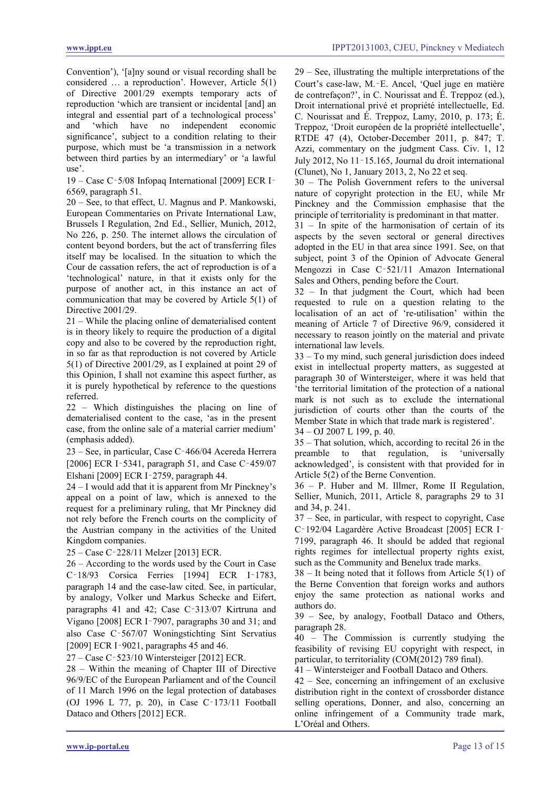Convention'), '[a]ny sound or visual recording shall be considered … a reproduction'. However, Article 5(1) of Directive 2001/29 exempts temporary acts of reproduction 'which are transient or incidental [and] an integral and essential part of a technological process' and 'which have no independent economic significance', subject to a condition relating to their purpose, which must be 'a transmission in a network between third parties by an intermediary' or 'a lawful use'.

19 – Case C‑5/08 Infopaq International [2009] ECR I‑ 6569, paragraph 51.

20 – See, to that effect, U. Magnus and P. Mankowski, European Commentaries on Private International Law, Brussels I Regulation, 2nd Ed., Sellier, Munich, 2012, No 226, p. 250. The internet allows the circulation of content beyond borders, but the act of transferring files itself may be localised. In the situation to which the Cour de cassation refers, the act of reproduction is of a 'technological' nature, in that it exists only for the purpose of another act, in this instance an act of communication that may be covered by Article 5(1) of Directive 2001/29.

21 – While the placing online of dematerialised content is in theory likely to require the production of a digital copy and also to be covered by the reproduction right, in so far as that reproduction is not covered by Article 5(1) of Directive 2001/29, as I explained at point 29 of this Opinion, I shall not examine this aspect further, as it is purely hypothetical by reference to the questions referred.

22 – Which distinguishes the placing on line of dematerialised content to the case, 'as in the present case, from the online sale of a material carrier medium' (emphasis added).

23 – See, in particular, Case C‑466/04 Acereda Herrera [2006] ECR I-5341, paragraph 51, and Case C-459/07 Elshani [2009] ECR I‑2759, paragraph 44.

24 – I would add that it is apparent from Mr Pinckney's appeal on a point of law, which is annexed to the request for a preliminary ruling, that Mr Pinckney did not rely before the French courts on the complicity of the Austrian company in the activities of the United Kingdom companies.

25 – Case C‑228/11 Melzer [2013] ECR.

26 – According to the words used by the Court in Case C‑18/93 Corsica Ferries [1994] ECR I‑1783, paragraph 14 and the case-law cited. See, in particular, by analogy, Volker und Markus Schecke and Eifert, paragraphs 41 and 42; Case C‑313/07 Kirtruna and Vigano [2008] ECR I‑7907, paragraphs 30 and 31; and also Case C‑567/07 Woningstichting Sint Servatius [2009] ECR I-9021, paragraphs 45 and 46.

27 – Case C‑523/10 Wintersteiger [2012] ECR.

28 – Within the meaning of Chapter III of Directive 96/9/EC of the European Parliament and of the Council of 11 March 1996 on the legal protection of databases (OJ 1996 L 77, p. 20), in Case C‑173/11 Football Dataco and Others [2012] ECR.

29 – See, illustrating the multiple interpretations of the Court's case-law, M.‑E. Ancel, 'Quel juge en matière de contrefaçon?', in C. Nourissat and É. Treppoz (ed.), Droit international privé et propriété intellectuelle, Ed. C. Nourissat and É. Treppoz, Lamy, 2010, p. 173; É. Treppoz, 'Droit européen de la propriété intellectuelle', RTDE 47 (4), October-December 2011, p. 847; T. Azzi, commentary on the judgment Cass. Civ. 1, 12 July 2012, No 11‑15.165, Journal du droit international (Clunet), No 1, January 2013, 2, No 22 et seq.

30 – The Polish Government refers to the universal nature of copyright protection in the EU, while Mr Pinckney and the Commission emphasise that the principle of territoriality is predominant in that matter.

31 – In spite of the harmonisation of certain of its aspects by the seven sectoral or general directives adopted in the EU in that area since 1991. See, on that subject, point 3 of the Opinion of Advocate General Mengozzi in Case C‑521/11 Amazon International Sales and Others, pending before the Court.

32 – In that judgment the Court, which had been requested to rule on a question relating to the localisation of an act of 're-utilisation' within the meaning of Article 7 of Directive 96/9, considered it necessary to reason jointly on the material and private international law levels.

33 – To my mind, such general jurisdiction does indeed exist in intellectual property matters, as suggested at paragraph 30 of Wintersteiger, where it was held that 'the territorial limitation of the protection of a national mark is not such as to exclude the international jurisdiction of courts other than the courts of the Member State in which that trade mark is registered'.

34 – OJ 2007 L 199, p. 40.

35 – That solution, which, according to recital 26 in the preamble to that regulation, is 'universally acknowledged', is consistent with that provided for in Article 5(2) of the Berne Convention.

36 – P. Huber and M. Illmer, Rome II Regulation, Sellier, Munich, 2011, Article 8, paragraphs 29 to 31 and 34, p. 241.

37 – See, in particular, with respect to copyright, Case C‑192/04 Lagardère Active Broadcast [2005] ECR I‑ 7199, paragraph 46. It should be added that regional rights regimes for intellectual property rights exist, such as the Community and Benelux trade marks.

38 – It being noted that it follows from Article 5(1) of the Berne Convention that foreign works and authors enjoy the same protection as national works and authors do.

39 – See, by analogy, Football Dataco and Others, paragraph 28.

40 – The Commission is currently studying the feasibility of revising EU copyright with respect, in particular, to territoriality (COM(2012) 789 final).

41 – Wintersteiger and Football Dataco and Others.

42 – See, concerning an infringement of an exclusive distribution right in the context of crossborder distance selling operations, Donner, and also, concerning an online infringement of a Community trade mark, L'Oréal and Others.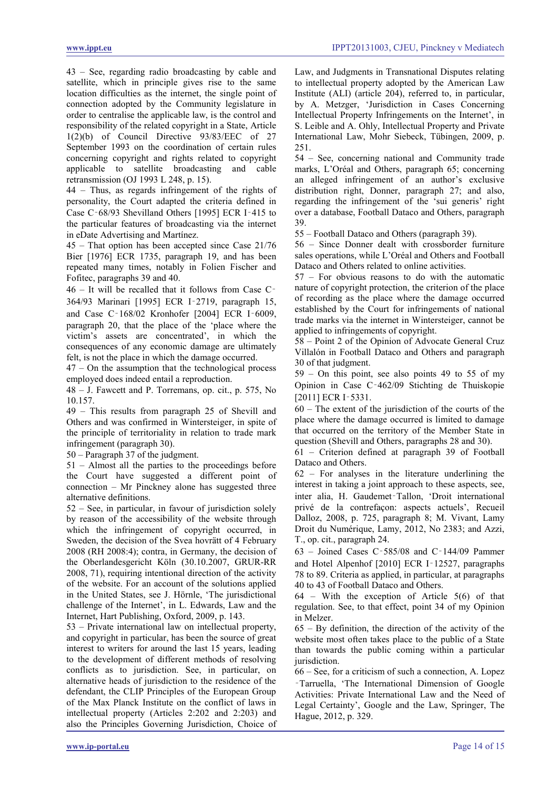43 – See, regarding radio broadcasting by cable and satellite, which in principle gives rise to the same location difficulties as the internet, the single point of connection adopted by the Community legislature in order to centralise the applicable law, is the control and responsibility of the related copyright in a State, Article 1(2)(b) of Council Directive 93/83/EEC of 27 September 1993 on the coordination of certain rules concerning copyright and rights related to copyright applicable to satellite broadcasting and cable retransmission (OJ 1993 L 248, p. 15).

44 – Thus, as regards infringement of the rights of personality, the Court adapted the criteria defined in Case C‑68/93 Shevilland Others [1995] ECR I‑415 to the particular features of broadcasting via the internet in eDate Advertising and Martínez.

45 – That option has been accepted since Case 21/76 Bier [1976] ECR 1735, paragraph 19, and has been repeated many times, notably in Folien Fischer and Fofitec, paragraphs 39 and 40.

46 – It will be recalled that it follows from Case C‑ 364/93 Marinari [1995] ECR I‑2719, paragraph 15, and Case C‑168/02 Kronhofer [2004] ECR I‑6009, paragraph 20, that the place of the 'place where the victim's assets are concentrated', in which the consequences of any economic damage are ultimately felt, is not the place in which the damage occurred.

47 – On the assumption that the technological process employed does indeed entail a reproduction.

48 – J. Fawcett and P. Torremans, op. cit., p. 575, No 10.157.

49 – This results from paragraph 25 of Shevill and Others and was confirmed in Wintersteiger, in spite of the principle of territoriality in relation to trade mark infringement (paragraph 30).

50 – Paragraph 37 of the judgment.

51 – Almost all the parties to the proceedings before the Court have suggested a different point of connection – Mr Pinckney alone has suggested three alternative definitions.

52 – See, in particular, in favour of jurisdiction solely by reason of the accessibility of the website through which the infringement of copyright occurred, in Sweden, the decision of the Svea hovrätt of 4 February 2008 (RH 2008:4); contra, in Germany, the decision of the Oberlandesgericht Köln (30.10.2007, GRUR-RR 2008, 71), requiring intentional direction of the activity of the website. For an account of the solutions applied in the United States, see J. Hörnle, 'The jurisdictional challenge of the Internet', in L. Edwards, Law and the Internet, Hart Publishing, Oxford, 2009, p. 143.

53 – Private international law on intellectual property, and copyright in particular, has been the source of great interest to writers for around the last 15 years, leading to the development of different methods of resolving conflicts as to jurisdiction. See, in particular, on alternative heads of jurisdiction to the residence of the defendant, the CLIP Principles of the European Group of the Max Planck Institute on the conflict of laws in intellectual property (Articles 2:202 and 2:203) and also the Principles Governing Jurisdiction, Choice of Law, and Judgments in Transnational Disputes relating to intellectual property adopted by the American Law Institute (ALI) (article 204), referred to, in particular, by A. Metzger, 'Jurisdiction in Cases Concerning Intellectual Property Infringements on the Internet', in S. Leible and A. Ohly, Intellectual Property and Private International Law, Mohr Siebeck, Tübingen, 2009, p. 251.

54 – See, concerning national and Community trade marks, L'Oréal and Others, paragraph 65; concerning an alleged infringement of an author's exclusive distribution right, Donner, paragraph 27; and also, regarding the infringement of the 'sui generis' right over a database, Football Dataco and Others, paragraph 39.

55 – Football Dataco and Others (paragraph 39).

56 – Since Donner dealt with crossborder furniture sales operations, while L'Oréal and Others and Football Dataco and Others related to online activities.

57 – For obvious reasons to do with the automatic nature of copyright protection, the criterion of the place of recording as the place where the damage occurred established by the Court for infringements of national trade marks via the internet in Wintersteiger, cannot be applied to infringements of copyright.

58 – Point 2 of the Opinion of Advocate General Cruz Villalón in Football Dataco and Others and paragraph 30 of that judgment.

59 – On this point, see also points 49 to 55 of my Opinion in Case C‑462/09 Stichting de Thuiskopie [2011] ECR I-5331.

60 – The extent of the jurisdiction of the courts of the place where the damage occurred is limited to damage that occurred on the territory of the Member State in question (Shevill and Others, paragraphs 28 and 30).

61 – Criterion defined at paragraph 39 of Football Dataco and Others.

62 – For analyses in the literature underlining the interest in taking a joint approach to these aspects, see, inter alia, H. Gaudemet‑Tallon, 'Droit international privé de la contrefaçon: aspects actuels', Recueil Dalloz, 2008, p. 725, paragraph 8; M. Vivant, Lamy Droit du Numérique, Lamy, 2012, No 2383; and Azzi, T., op. cit., paragraph 24.

63 – Joined Cases C‑585/08 and C‑144/09 Pammer and Hotel Alpenhof [2010] ECR I‑12527, paragraphs 78 to 89. Criteria as applied, in particular, at paragraphs 40 to 43 of Football Dataco and Others.

64 – With the exception of Article 5(6) of that regulation. See, to that effect, point 34 of my Opinion in Melzer.

65 – By definition, the direction of the activity of the website most often takes place to the public of a State than towards the public coming within a particular jurisdiction.

66 – See, for a criticism of such a connection, A. Lopez ‑Tarruella, 'The International Dimension of Google Activities: Private International Law and the Need of Legal Certainty', Google and the Law, Springer, The Hague, 2012, p. 329.